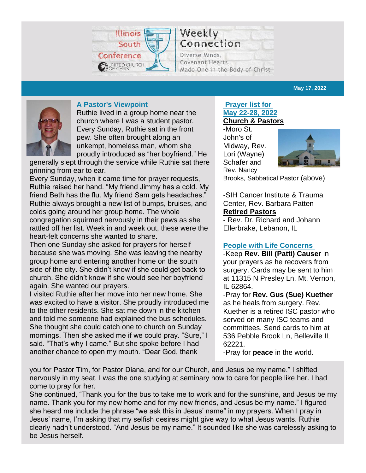

Weekly Connection

Diverse Minds, Covenant Hearts, Made One in the Body of Christ

**May 17, 2022**



# **A Pastor's Viewpoint**

Ruthie lived in a group home near the church where I was a student pastor. Every Sunday, Ruthie sat in the front pew. She often brought along an unkempt, homeless man, whom she proudly introduced as "her boyfriend." He

generally slept through the service while Ruthie sat there grinning from ear to ear.

Every Sunday, when it came time for prayer requests, Ruthie raised her hand. "My friend Jimmy has a cold. My friend Beth has the flu. My friend Sam gets headaches." Ruthie always brought a new list of bumps, bruises, and colds going around her group home. The whole congregation squirmed nervously in their pews as she rattled off her list. Week in and week out, these were the heart-felt concerns she wanted to share.

Then one Sunday she asked for prayers for herself because she was moving. She was leaving the nearby group home and entering another home on the south side of the city. She didn't know if she could get back to church. She didn't know if she would see her boyfriend again. She wanted our prayers.

I visited Ruthie after her move into her new home. She was excited to have a visitor. She proudly introduced me to the other residents. She sat me down in the kitchen and told me someone had explained the bus schedules. She thought she could catch one to church on Sunday mornings. Then she asked me if we could pray. "Sure," I said. "That's why I came." But she spoke before I had another chance to open my mouth. "Dear God, thank

#### **Prayer list for May 22-28, 2022 Church & Pastors**

-Moro St. John's of Midway, Rev. Lori (Wayne) Schafer and Rev. Nancy



Brooks, Sabbatical Pastor (above)

-SIH Cancer Institute & Trauma Center, Rev. Barbara Patten **Retired Pastors**

- Rev. Dr. Richard and Johann Ellerbrake, Lebanon, IL

# **People with Life Concerns**

-Keep **Rev. Bill (Patti) Causer** in your prayers as he recovers from surgery. Cards may be sent to him at 11315 N Presley Ln, Mt. Vernon, IL 62864.

-Pray for **Rev. Gus (Sue) Kuether** as he heals from surgery. Rev. Kuether is a retired ISC pastor who served on many ISC teams and committees. Send cards to him at 536 Pebble Brook Ln, Belleville IL 62221.

-Pray for **peace** in the world.

you for Pastor Tim, for Pastor Diana, and for our Church, and Jesus be my name." I shifted nervously in my seat. I was the one studying at seminary how to care for people like her. I had come to pray for her.

She continued, "Thank you for the bus to take me to work and for the sunshine, and Jesus be my name. Thank you for my new home and for my new friends, and Jesus be my name." I figured she heard me include the phrase "we ask this in Jesus' name" in my prayers. When I pray in Jesus' name, I'm asking that my selfish desires might give way to what Jesus wants. Ruthie clearly hadn't understood. "And Jesus be my name." It sounded like she was carelessly asking to be Jesus herself.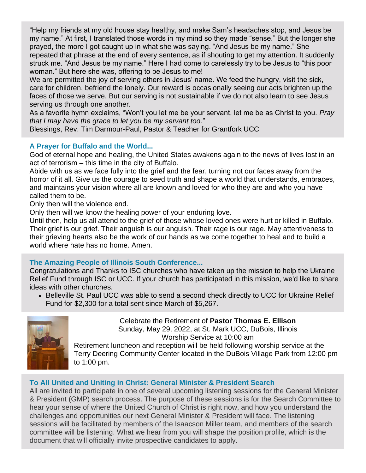"Help my friends at my old house stay healthy, and make Sam's headaches stop, and Jesus be my name." At first, I translated those words in my mind so they made "sense." But the longer she prayed, the more I got caught up in what she was saying. "And Jesus be my name." She repeated that phrase at the end of every sentence, as if shouting to get my attention. It suddenly struck me. "And Jesus be my name." Here I had come to carelessly try to be Jesus to "this poor woman." But here she was, offering to be Jesus to me!

We are permitted the joy of serving others in Jesus' name. We feed the hungry, visit the sick, care for children, befriend the lonely. Our reward is occasionally seeing our acts brighten up the faces of those we serve. But our serving is not sustainable if we do not also learn to see Jesus serving us through one another.

As a favorite hymn exclaims, "Won't you let me be your servant, let me be as Christ to you. *Pray that I may have the grace to let you be my servant too*."

Blessings, Rev. Tim Darmour-Paul, Pastor & Teacher for Grantfork UCC

# **A Prayer for Buffalo and the World...**

God of eternal hope and healing, the United States awakens again to the news of lives lost in an act of terrorism – this time in the city of Buffalo.

Abide with us as we face fully into the grief and the fear, turning not our faces away from the horror of it all. Give us the courage to seed truth and shape a world that understands, embraces, and maintains your vision where all are known and loved for who they are and who you have called them to be.

Only then will the violence end.

Only then will we know the healing power of your enduring love.

Until then, help us all attend to the grief of those whose loved ones were hurt or killed in Buffalo. Their grief is our grief. Their anguish is our anguish. Their rage is our rage. May attentiveness to their grieving hearts also be the work of our hands as we come together to heal and to build a world where hate has no home. Amen.

# **The Amazing People of Illinois South Conference...**

Congratulations and Thanks to ISC churches who have taken up the mission to help the Ukraine Relief Fund through ISC or UCC. If your church has participated in this mission, we'd like to share ideas with other churches.

• Belleville St. Paul UCC was able to send a second check directly to UCC for Ukraine Relief Fund for \$2,300 for a total sent since March of \$5,267.



Celebrate the Retirement of **Pastor Thomas E. Ellison** Sunday, May 29, 2022, at St. Mark UCC, DuBois, Illinois Worship Service at 10:00 am

Retirement luncheon and reception will be held following worship service at the Terry Deering Community Center located in the DuBois Village Park from 12:00 pm to 1:00 pm.

# **To All United and Uniting in Christ: General Minister & President Search**

All are invited to participate in one of several upcoming listening sessions for the General Minister & President (GMP) search process. The purpose of these sessions is for the Search Committee to hear your sense of where the United Church of Christ is right now, and how you understand the challenges and opportunities our next General Minister & President will face. The listening sessions will be facilitated by members of the Isaacson Miller team, and members of the search committee will be listening. What we hear from you will shape the position profile, which is the document that will officially invite prospective candidates to apply.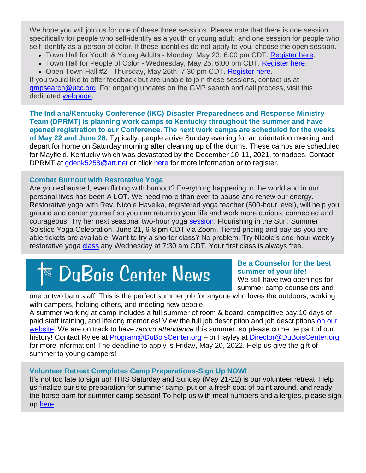We hope you will join us for one of these three sessions. Please note that there is one session specifically for people who self-identify as a youth or young adult, and one session for people who self-identify as a person of color. If these identities do not apply to you, choose the open session.

- Town Hall for Youth & Young Adults Monday, May 23, 6:00 pm CDT. [Register here.](https://va909.keap-link006.com/v2/click/928a32b713a293a57d885b95707ae940/eJyNkEFPwkAUhP_LOzdsLWSR3nADpCnWIBCCF7LQp26k283rK4qk_50ViV4g4Twz32TmAIxWW05yiGGne2EPAiDcGGfQsiot681JlDJsSxnA1tiPEZW1g_hwKfunn0JhdN8JgPcOvWX23Fdpko1W4yRLvdVp8h23cKK7jvznDB77yRia5ioYC8ODnWdXEDPV-LMoN34Vz2nr_e_MroqFmCvV-i7LolVX4hPXxmoShG-mYiSxyFZRl3hSLLvTmVrKp4cX8zr8iia-QDuHNj-_k-L-t6Y5ArtUa9A=)
- Town Hall for People of Color Wednesday, May 25, 6:00 pm CDT. [Register here.](https://va909.keap-link009.com/v2/click/ddb052879242b896aba24726b2f2cbc7/eJyNkE-LwjAUxL_LO4upfwi2NylVS7tlFcW9lax5aNCm2fTVpUq_u1GXnhT2PDO_YeYKhFpoiiUEcBa-50MPLO6UUagpLDWJ3UPk3Btx3oOT0se5LWsDwfVVttMfIW84cRlqDDrLejUNkzib52mcJc5qhHUd_-EMB2M-7jjRxzROoW3fgrFQFJ0du4KAbI33RVK5VbSxJ-c_EJkqYGwThv1LWRb9umK_-K20sMziXlWElm2zXKKcqHQRrbH5NF_5YPbDt8XSFQhjUMu_dxJsnjXtDc8rbEQ=)
- Open Town Hall #2 Thursday, May 26th, 7:30 pm CDT. [Register here.](https://va909.keap-link017.com/v2/click/3b5306e7998364982c6cdef006fbf39b/eJyNkEFrwkAUhP_LOwc3Wl00NwkaQmKKVil4ka15tYu6Wd6-GKzkv7va4slCzzPzDTMXYDTKcFpCBCc1CkcQAOFWW42G48qw2t5FKcMXKQM4aLNPqKotRJdn2Yd-D4W94TAAPlv0luViHGdpkWzytMi81SryHf_h9Lp92X9wJrNxmkPb_gnGo-bJybMdREw13haV2q_iFR28_4vZukiIVRx3vqvq2KmdaPBDG0WCcKcdI4n3YqNeQ5c1rllO3wbzxSBZf04p3_kCZS2a8vedDM8_Ne0VzS9sLg==)

If you would like to offer feedback but are unable to join these sessions, contact us at [gmpsearch@ucc.org.](mailto:gmpsearch@ucc.org) For ongoing updates on the GMP search and call process, visit this dedicated [webpage.](https://va909.keap-link010.com/v2/click/a80740da325da47d321ec6f416308ea0/eJyNkE0LgkAURf_LW_uVxZDuIkLEchG1jmF81JCOw_hURPzvTRatClrfc8_jvhEIFVeUFhBDx6MgAgcMCqklKtrWiriYQ8aCJWMOlFLdE1O3GuLxW_eTz6UgXAcO0KDRIqfjZpuleXLZp3lmUc2NvfGPJ1ys2Orj2R026R6m6acYK0m7zrobiMm0-FxUSLuKzqa0_I1IN7Hv933vtUJ4tbn6DXIjbi5XhSt4WbrXSvtWxbVGVbz_kOHwEk4P3HVkqw==)

**The Indiana/Kentucky Conference (IKC) Disaster Preparedness and Response Ministry Team (DPRMT) is planning work camps to Kentucky throughout the summer and have opened registration to our Conference. The next work camps are scheduled for the weeks of May 22 and June 26.** Typically, people arrive Sunday evening for an orientation meeting and depart for home on Saturday morning after cleaning up of the dorms. These camps are scheduled for Mayfield, Kentucky which was devastated by the December 10-11, 2021, tornadoes. Contact DPRMT at [gdenk5258@att.net](mailto:gdenk5258@att.net) or click [here](https://ikcucc.org/disaster-preparedness/) for more information or to register.

# **Combat Burnout with Restorative Yoga**

Are you exhausted, even flirting with burnout? Everything happening in the world and in our personal lives has been A LOT. We need more than ever to pause and renew our energy. Restorative yoga with Rev. Nicole Havelka, registered yoga teacher (500-hour level), will help you ground and center yourself so you can return to your life and work more curious, connected and courageous. Try her next seasonal two-hour yoga [session:](https://defythetrend.com/upcoming-events/) Flourishing in the Sun: Summer Solstice Yoga Celebration, June 21, 6-8 pm CDT via Zoom. Tiered pricing and pay-as-you-areable tickets are available. Want to try a shorter class? No problem. Try Nicole's one-hour weekly restorative yoga [class](https://defythetrend.podia.com/weekly-yoga-class-sampler) any Wednesday at 7:30 am CDT. Your first class is always free.

# $^\mathrm{\scriptscriptstyle{\boxtimes}}$  DuBois Center News

# **Be a Counselor for the best summer of your life!**

We still have two openings for summer camp counselors and

one or two barn staff! This is the perfect summer job for anyone who loves the outdoors, working with campers, helping others, and meeting new people.

A summer working at camp includes a full summer of room & board, competitive pay,10 days of paid staff training, and lifelong memories! View the full job description and job descriptions [on our](https://r20.rs6.net/tn.jsp?f=001g6N8AkTvMUcbPU4Scj6kvKOdsheHFzYxsQsgWA8NFifqfrx9j097FGMAaX9zHuJNWj1GvtaAAaCAZFyWKGYknjFWmPUm5UxXnex44ZGNB2NOxkUWVfaY8eMmJkha9vqhXwb3MyCn0Cv6K8gdNvnnwfFdAsEZr3sYr-q4tJxijSA_DBznvO0d8rUBAdgaLvnz&c=ORlustm77llC5BjbFPRNCYwvIxI8d-A819hFPueCA_KvNgWHmAi7Rw==&ch=VE3WpS1gbxZKD_qKCnciOI4YDNpgmdvaiL8lnS4DeB0iKVisoxpvUA==)  [website!](https://r20.rs6.net/tn.jsp?f=001g6N8AkTvMUcbPU4Scj6kvKOdsheHFzYxsQsgWA8NFifqfrx9j097FGMAaX9zHuJNWj1GvtaAAaCAZFyWKGYknjFWmPUm5UxXnex44ZGNB2NOxkUWVfaY8eMmJkha9vqhXwb3MyCn0Cv6K8gdNvnnwfFdAsEZr3sYr-q4tJxijSA_DBznvO0d8rUBAdgaLvnz&c=ORlustm77llC5BjbFPRNCYwvIxI8d-A819hFPueCA_KvNgWHmAi7Rw==&ch=VE3WpS1gbxZKD_qKCnciOI4YDNpgmdvaiL8lnS4DeB0iKVisoxpvUA==) We are on track to have *record attendance* this summer, so please come be part of our history! Contact Rylee at **Program@DuBoisCenter.org** – or Hayley at *Director@DuBoisCenter.org* for more information! The deadline to apply is Friday, May 20, 2022. Help us give the gift of summer to young campers!

# **Volunteer Retreat Completes Camp Preparations-Sign Up NOW!**

It's not too late to sign up! THIS Saturday and Sunday (May 21-22) is our volunteer retreat! Help us finalize our site preparation for summer camp, put on a fresh coat of paint around, and ready the horse barn for summer camp season! To help us with meal numbers and allergies, please sign up [here.](https://docs.google.com/forms/d/1960oWj__CSklRyML7SBTexNVudzU4X1cdKCQRTvywb0/edit)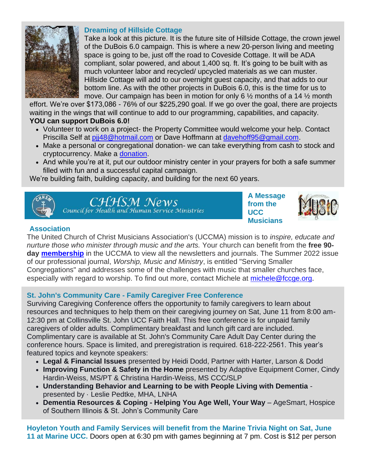

#### **Dreaming of Hillside Cottage**

Take a look at this picture. It is the future site of Hillside Cottage, the crown jewel of the DuBois 6.0 campaign. This is where a new 20-person living and meeting space is going to be, just off the road to Coveside Cottage. It will be ADA compliant, solar powered, and about 1,400 sq. ft. It's going to be built with as much volunteer labor and recycled/ upcycled materials as we can muster. Hillside Cottage will add to our overnight guest capacity, and that adds to our bottom line. As with the other projects in DuBois 6.0, this is the time for us to move. Our campaign has been in motion for only 6  $\frac{1}{2}$  months of a 14  $\frac{1}{2}$  month

effort. We're over \$173,086 - 76% of our \$225,290 goal. If we go over the goal, there are projects waiting in the wings that will continue to add to our programming, capabilities, and capacity. **YOU can support DuBois 6.0!**

- Volunteer to work on a project- the Property Committee would welcome your help. Contact Priscilla Self at [pjj48@hotmail.com](mailto:pjj48@hotmail.com) or Dave Hoffmann at [davehoff95@gmail.com.](mailto:davehoff95@gmail.com)
- Make a personal or congregational donation- we can take everything from cash to stock and cryptocurrency. Make a [donation.](https://iscucc.org/dubois-6-0-campaign/)
- And while you're at it, put our outdoor ministry center in your prayers for both a safe summer filled with fun and a successful capital campaign.

We're building faith, building capacity, and building for the next 60 years.



CHHSM News Council for Health and Human Service Ministries **A Message from the UCC Musicians** 



# **Association**

The United Church of Christ Musicians Association's (UCCMA) mission is to *inspire, educate and nurture those who minister through music and the arts.* Your church can benefit from the **free 90 day [membership](https://uccma.wildapricot.org/join-us)** in the UCCMA to view all the newsletters and journals. The Summer 2022 issue of our professional journal, *Worship, Music and Ministry*, is entitled "Serving Smaller Congregations" and addresses some of the challenges with music that smaller churches face, especially with regard to worship. To find out more, contact Michele at [michele@fccge.org.](mailto:michele@fccge.org)

# **St. John's Community Care - Family Caregiver Free Conference**

Surviving Caregiving Conference offers the opportunity to family caregivers to learn about resources and techniques to help them on their caregiving journey on Sat, June 11 from 8:00 am-12:30 pm at Collinsville St. John UCC Faith Hall. This free conference is for unpaid family caregivers of older adults. Complimentary breakfast and lunch gift card are included. Complimentary care is available at St. John's Community Care Adult Day Center during the conference hours. Space is limited, and preregistration is required. 618-222-2561. This year's featured topics and keynote speakers:

- **Legal & Financial Issues** presented by Heidi Dodd, Partner with Harter, Larson & Dodd
- **Improving Function & Safety in the Home** presented by Adaptive Equipment Corner, Cindy Hardin-Weiss, MS/PT & Christina Hardin-Weiss, MS CCC/SLP
- **Understanding Behavior and Learning to be with People Living with Dementia** presented by · Leslie Pedtke, MHA, LNHA
- **Dementia Resources & Coping - Helping You Age Well, Your Way** AgeSmart, Hospice of Southern Illinois & St. John's Community Care

**Hoyleton Youth and Family Services will benefit from the Marine Trivia Night on Sat, June 11 at Marine UCC.** Doors open at 6:30 pm with games beginning at 7 pm. Cost is \$12 per person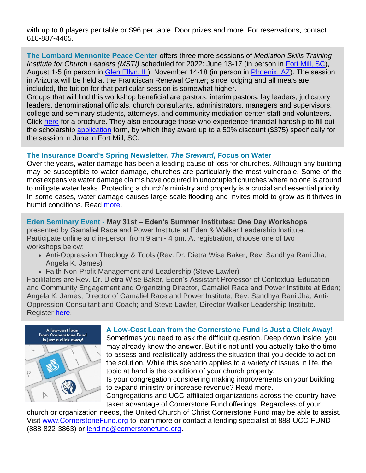with up to 8 players per table or \$96 per table. Door prizes and more. For reservations, contact 618-887-4465.

**The Lombard Mennonite Peace Center** offers three more sessions of *Mediation Skills Training Institute for Church Leaders (MSTI)* scheduled for 2022: June 13-17 (in person in [Fort Mill, SC\)](https://files.constantcontact.com/3ac71630101/7050aeb0-7214-4a2c-8523-11bbf5ab5d6e.pdf?rdr=true), August 1-5 (in person in [Glen Ellyn, IL\)](https://files.constantcontact.com/3ac71630101/6e03235e-d0d6-432e-9e7b-0bc007983474.pdf?rdr=true), November 14-18 (in person in [Phoenix, AZ\)](https://files.constantcontact.com/3ac71630101/15e73647-b8ea-4c6d-bc0c-3c18afcf94a6.pdf?rdr=true). The session in Arizona will be held at the Franciscan Renewal Center; since lodging and all meals are included, the tuition for that particular session is somewhat higher.

Groups that will find this workshop beneficial are pastors, interim pastors, lay leaders, judicatory leaders, denominational officials, church consultants, administrators, managers and supervisors, college and seminary students, attorneys, and community mediation center staff and volunteers. Click [here](https://files.constantcontact.com/3ac71630101/23e3bf02-84a4-463d-9f9d-4b8f16051669.pdf?rdr=true) for a brochure. They also encourage those who experience financial hardship to fill out the scholarship [application](https://files.constantcontact.com/3ac71630101/c48c5cae-cb0c-4079-bf11-fd76868800da.pdf?rdr=true) form, by which they award up to a 50% discount (\$375) specifically for the session in June in Fort Mill, SC.

# **The Insurance Board's Spring Newsletter,** *The Steward***, Focus on Water**

Over the years, water damage has been a leading cause of loss for churches. Although any building may be susceptible to water damage, churches are particularly the most vulnerable. Some of the most expensive water damage claims have occurred in unoccupied churches where no one is around to mitigate water leaks. Protecting a church's ministry and property is a crucial and essential priority. In some cases, water damage causes large-scale flooding and invites mold to grow as it thrives in humid conditions. Read [more.](mailto:https://www.insuranceboard.org/wp-content/uploads/2022/05/4-25-22-Final-Steward-newsletter-spring-2022.pdf)

**Eden Seminary Event - May 31st – Eden's Summer Institutes: One Day Workshops**  presented by Gamaliel Race and Power Institute at Eden & Walker Leadership Institute. Participate online and in-person from 9 am - 4 pm. At registration, choose one of two workshops below:

- Anti-Oppression Theology & Tools (Rev. Dr. Dietra Wise Baker, Rev. Sandhya Rani Jha, Angela K. James)
- Faith Non-Profit Management and Leadership (Steve Lawler)

Facilitators are Rev. Dr. Dietra Wise Baker, Eden's Assistant Professor of Contextual Education and Community Engagement and Organizing Director, Gamaliel Race and Power Institute at Eden; Angela K. James, Director of Gamaliel Race and Power Institute; Rev. Sandhya Rani Jha, Anti-Oppression Consultant and Coach; and Steve Lawler, Director Walker Leadership Institute. Register [here.](https://www.eden.edu/events/edens-summer-institutes/)



#### **A Low-Cost Loan from the Cornerstone Fund Is Just a Click Away!**

Sometimes you need to ask the difficult question. Deep down inside, you may already know the answer. But it's not until you actually take the time to assess and realistically address the situation that you decide to act on the solution. While this scenario applies to a variety of issues in life, the topic at hand is the condition of your church property.

Is your congregation considering making improvements on your building to expand ministry or increase revenue? Read [more.](https://files.constantcontact.com/3ac71630101/a4c68722-c6ec-4ec2-83da-db29f105dec7.pdf?rdr=true)

Congregations and UCC-affiliated organizations across the country have taken advantage of Cornerstone Fund offerings. Regardless of your

church or organization needs, the United Church of Christ Cornerstone Fund may be able to assist. Visit [www.CornerstoneFund.org](http://www.cornerstonefund.org/) to learn more or contact a lending specialist at 888-UCC-FUND (888-822-3863) or [lending@cornerstonefund.org.](mailto:lending@cornerstonefund.org)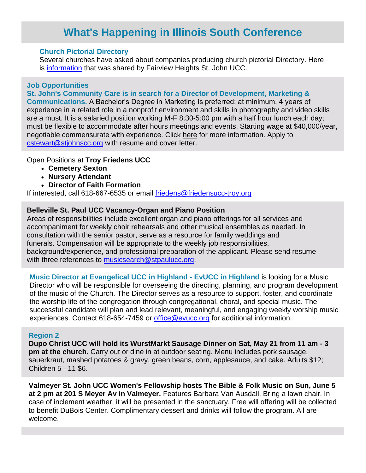# **What's Happening in Illinois South Conference**

#### **Church Pictorial Directory**

Several churches have asked about companies producing church pictorial Directory. Here is [information](https://files.constantcontact.com/3ac71630101/d3776022-1afd-4c00-bfc5-e2d330a0cc70.pdf) that was shared by Fairview Heights St. John UCC.

#### **Job Opportunities**

#### **St. John's Community Care is in search for a Director of Development, Marketing &**

**Communications.** A Bachelor's Degree in Marketing is preferred; at minimum, 4 years of experience in a related role in a nonprofit environment and skills in photography and video skills are a must. It is a salaried position working M-F 8:30-5:00 pm with a half hour lunch each day; must be flexible to accommodate after hours meetings and events. Starting wage at \$40,000/year, negotiable commensurate with experience. Click [here](https://files.constantcontact.com/3ac71630101/3d556499-a7bd-4c5c-b30c-5fbbd17855b1.pdf?rdr=true) for more information. Apply to [cstewart@stjohnscc.org](mailto:cstewart@stjohnscc.org) with resume and cover letter.

#### Open Positions at **Troy Friedens UCC**

- **Cemetery Sexton**
- **Nursery Attendant**
- **Director of Faith Formation**

If interested, call 618-667-6535 or email [friedens@friedensucc-troy.org](mailto:friedens@friedensucc-troy.org)

#### **Belleville St. Paul UCC Vacancy-Organ and Piano Position**

Areas of responsibilities include excellent organ and piano offerings for all services and accompaniment for weekly choir rehearsals and other musical ensembles as needed. In consultation with the senior pastor, serve as a resource for family weddings and funerals. Compensation will be appropriate to the weekly job responsibilities, background/experience, and professional preparation of the applicant. Please send resume with three references to [musicsearch@stpaulucc.org.](mailto:musicsearch@stpaulucc.org)

**Music Director at Evangelical UCC in Highland - EvUCC in Highland** is looking for a Music Director who will be responsible for overseeing the directing, planning, and program development of the music of the Church. The Director serves as a resource to support, foster, and coordinate the worship life of the congregation through congregational, choral, and special music. The successful candidate will plan and lead relevant, meaningful, and engaging weekly worship music experiences. Contact 618-654-7459 or [office@evucc.org](mailto:office@evucc.org) for additional information.

#### **Region 2**

**Dupo Christ UCC will hold its WurstMarkt Sausage Dinner on Sat, May 21 from 11 am - 3 pm at the church.** Carry out or dine in at outdoor seating. Menu includes pork sausage, sauerkraut, mashed potatoes & gravy, green beans, corn, applesauce, and cake. Adults \$12; Children 5 - 11 \$6.

**Valmeyer St. John UCC Women's Fellowship hosts The Bible & Folk Music on Sun, June 5 at 2 pm at 201 S Meyer Av in Valmeyer.** Features Barbara Van Ausdall. Bring a lawn chair. In case of inclement weather, it will be presented in the sanctuary. Free will offering will be collected to benefit DuBois Center. Complimentary dessert and drinks will follow the program. All are welcome.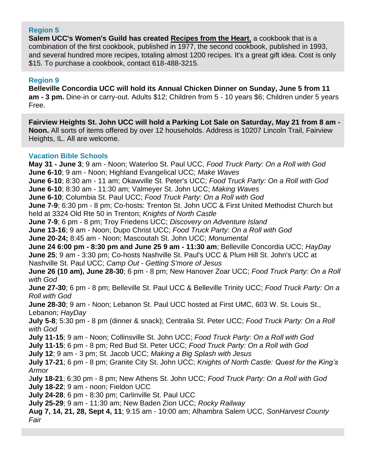#### **Region 5**

**Salem UCC's Women's Guild has created Recipes from the Heart**, a cookbook that is a combination of the first cookbook, published in 1977, the second cookbook, published in 1993, and several hundred more recipes, totaling almost 1200 recipes. It's a great gift idea. Cost is only \$15. To purchase a cookbook, contact 618-488-3215.

#### **Region 9**

**Belleville Concordia UCC will hold its Annual Chicken Dinner on Sunday, June 5 from 11 am - 3 pm.** Dine-in or carry-out. Adults \$12; Children from 5 - 10 years \$6; Children under 5 years Free.

**Fairview Heights St. John UCC will hold a Parking Lot Sale on Saturday, May 21 from 8 am - Noon.** All sorts of items offered by over 12 households. Address is 10207 Lincoln Trail, Fairview Heights, IL. All are welcome.

#### **Vacation Bible Schools**

**May 31 - June 3**; 9 am - Noon; Waterloo St. Paul UCC, *Food Truck Party: On a Roll with God* **June 6-10**; 9 am - Noon; Highland Evangelical UCC; *Make Waves* **June 6-10**; 8:30 am - 11 am; Okawville St. Peter's UCC; *Food Truck Party: On a Roll with God* **June 6-10**; 8:30 am - 11:30 am; Valmeyer St. John UCC; *Making Waves* **June 6-10**; Columbia St. Paul UCC; *Food Truck Party: On a Roll with God* **June 7-9**; 6:30 pm - 8 pm; Co-hosts: Trenton St. John UCC & First United Methodist Church but held at 3324 Old Rte 50 in Trenton; *Knights of North Castle* **June 7-9**; 6 pm - 8 pm; Troy Friedens UCC; *Discovery on Adventure Island* **June 13-16**; 9 am - Noon; Dupo Christ UCC; *Food Truck Party: On a Roll with God* **June 20-24;** 8:45 am - Noon; Mascoutah St. John UCC; *Monumental* **June 24 6:00 pm - 8:30 pm and June 25 9 am - 11:30 am**; Belleville Concordia UCC; *HayDay* **June 25**; 9 am - 3:30 pm; Co-hosts Nashville St. Paul's UCC & Plum Hill St. John's UCC at Nashville St. Paul UCC; *Camp Out - Getting S'more of Jesus* **June 26 (10 am), June 28-30**; 6 pm - 8 pm; New Hanover Zoar UCC; *Food Truck Party: On a Roll with God* **June 27-30**; 6 pm - 8 pm; Belleville St. Paul UCC & Belleville Trinity UCC; *Food Truck Party: On a Roll with God* **June 28-30**; 9 am - Noon; Lebanon St. Paul UCC hosted at First UMC, 603 W. St. Louis St., Lebanon; *HayDay* **July 5-8**; 5:30 pm - 8 pm (dinner & snack); Centralia St. Peter UCC; *Food Truck Party: On a Roll with God* **July 11-15**; 9 am - Noon; Collinsville St. John UCC; *Food Truck Party: On a Roll with God* **July 11-15**; 6 pm - 8 pm; Red Bud St. Peter UCC; *Food Truck Party: On a Roll with God* **July 12**; 9 am - 3 pm; St. Jacob UCC; *Making a Big Splash with Jesus* **July 17-21**; 6 pm - 8 pm; Granite City St. John UCC; *Knights of North Castle: Quest for the King's Armor* J**uly 18-21**; 6:30 pm - 8 pm; New Athens St. John UCC; *Food Truck Party: On a Roll with God* **July 18-22**; 9 am - noon; Fieldon UCC **July 24-28**; 6 pm - 8:30 pm; Carlinville St. Paul UCC **July 25-29**; 9 am - 11:30 am; New Baden Zion UCC; *Rocky Railway* **Aug 7, 14, 21, 28, Sept 4, 11**; 9:15 am - 10:00 am; Alhambra Salem UCC, *SonHarvest County Fair*